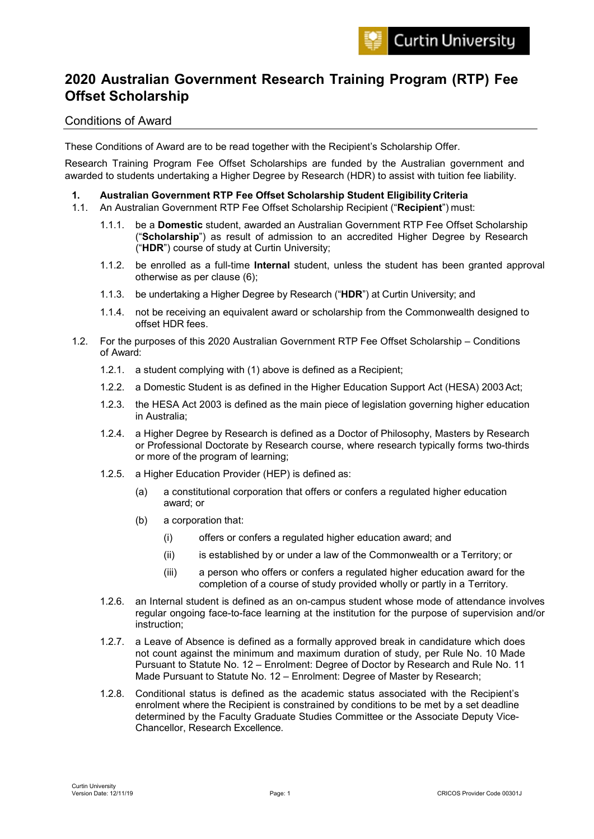# **2020 Australian Government Research Training Program (RTP) Fee Offset Scholarship**

# Conditions of Award

These Conditions of Award are to be read together with the Recipient's Scholarship Offer.

Research Training Program Fee Offset Scholarships are funded by the Australian government and awarded to students undertaking a Higher Degree by Research (HDR) to assist with tuition fee liability.

# **1. Australian Government RTP Fee Offset Scholarship Student Eligibility Criteria**

- 1.1. An Australian Government RTP Fee Offset Scholarship Recipient ("**Recipient**") must:
	- 1.1.1. be a **Domestic** student, awarded an Australian Government RTP Fee Offset Scholarship ("**Scholarship**") as result of admission to an accredited Higher Degree by Research ("**HDR**") course of study at Curtin University;
	- 1.1.2. be enrolled as a full-time **Internal** student, unless the student has been granted approval otherwise as per clause (6);
	- 1.1.3. be undertaking a Higher Degree by Research ("**HDR**") at Curtin University; and
	- 1.1.4. not be receiving an equivalent award or scholarship from the Commonwealth designed to offset HDR fees.
- 1.2. For the purposes of this 2020 Australian Government RTP Fee Offset Scholarship Conditions of Award:
	- 1.2.1. a student complying with (1) above is defined as a Recipient;
	- 1.2.2. a Domestic Student is as defined in the Higher Education Support Act (HESA) 2003Act;
	- 1.2.3. the HESA Act 2003 is defined as the main piece of legislation governing higher education in Australia;
	- 1.2.4. a Higher Degree by Research is defined as a Doctor of Philosophy, Masters by Research or Professional Doctorate by Research course, where research typically forms two-thirds or more of the program of learning;
	- 1.2.5. a Higher Education Provider (HEP) is defined as:
		- (a) a constitutional corporation that offers or confers a regulated higher education award; or
		- (b) a corporation that:
			- (i) offers or confers a regulated higher education award; and
			- (ii) is established by or under a law of the Commonwealth or a Territory; or
			- (iii) a person who offers or confers a regulated higher education award for the completion of a course of study provided wholly or partly in a Territory.
	- 1.2.6. an Internal student is defined as an on-campus student whose mode of attendance involves regular ongoing face-to-face learning at the institution for the purpose of supervision and/or instruction;
	- 1.2.7. a Leave of Absence is defined as a formally approved break in candidature which does not count against the minimum and maximum duration of study, per Rule No. 10 Made Pursuant to Statute No. 12 – Enrolment: Degree of Doctor by Research and Rule No. 11 Made Pursuant to Statute No. 12 – Enrolment: Degree of Master by Research;
	- 1.2.8. Conditional status is defined as the academic status associated with the Recipient's enrolment where the Recipient is constrained by conditions to be met by a set deadline determined by the Faculty Graduate Studies Committee or the Associate Deputy Vice-Chancellor, Research Excellence.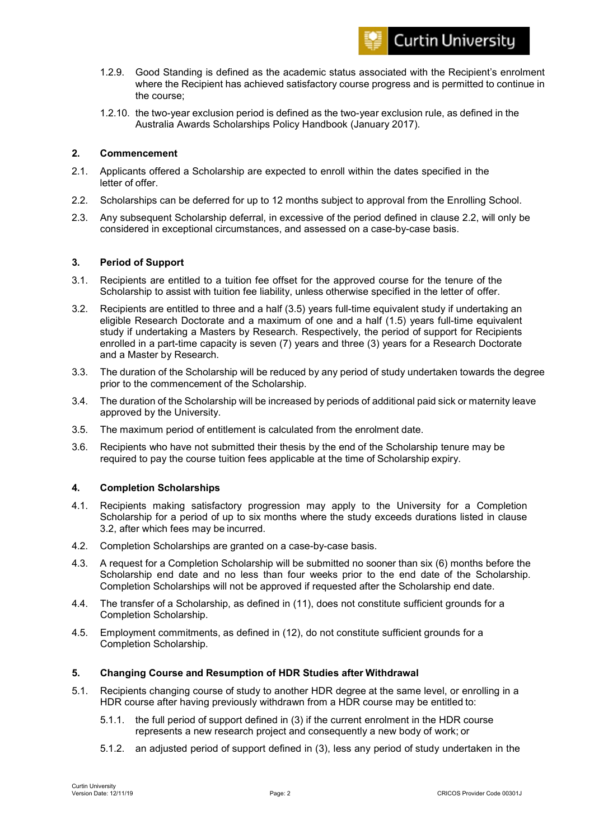

- 1.2.9. Good Standing is defined as the academic status associated with the Recipient's enrolment where the Recipient has achieved satisfactory course progress and is permitted to continue in the course;
- 1.2.10. the two-year exclusion period is defined as the two-year exclusion rule, as defined in the Australia Awards Scholarships Policy Handbook (January 2017).

# **2. Commencement**

- 2.1. Applicants offered a Scholarship are expected to enroll within the dates specified in the letter of offer.
- 2.2. Scholarships can be deferred for up to 12 months subject to approval from the Enrolling School.
- 2.3. Any subsequent Scholarship deferral, in excessive of the period defined in clause 2.2, will only be considered in exceptional circumstances, and assessed on a case-by-case basis.

# **3. Period of Support**

- 3.1. Recipients are entitled to a tuition fee offset for the approved course for the tenure of the Scholarship to assist with tuition fee liability, unless otherwise specified in the letter of offer.
- 3.2. Recipients are entitled to three and a half (3.5) years full-time equivalent study if undertaking an eligible Research Doctorate and a maximum of one and a half (1.5) years full-time equivalent study if undertaking a Masters by Research. Respectively, the period of support for Recipients enrolled in a part-time capacity is seven (7) years and three (3) years for a Research Doctorate and a Master by Research.
- 3.3. The duration of the Scholarship will be reduced by any period of study undertaken towards the degree prior to the commencement of the Scholarship.
- 3.4. The duration of the Scholarship will be increased by periods of additional paid sick or maternity leave approved by the University.
- 3.5. The maximum period of entitlement is calculated from the enrolment date.
- 3.6. Recipients who have not submitted their thesis by the end of the Scholarship tenure may be required to pay the course tuition fees applicable at the time of Scholarship expiry.

# **4. Completion Scholarships**

- 4.1. Recipients making satisfactory progression may apply to the University for a Completion Scholarship for a period of up to six months where the study exceeds durations listed in clause 3.2, after which fees may be incurred.
- 4.2. Completion Scholarships are granted on a case-by-case basis.
- 4.3. A request for a Completion Scholarship will be submitted no sooner than six (6) months before the Scholarship end date and no less than four weeks prior to the end date of the Scholarship. Completion Scholarships will not be approved if requested after the Scholarship end date.
- 4.4. The transfer of a Scholarship, as defined in (11), does not constitute sufficient grounds for a Completion Scholarship.
- 4.5. Employment commitments, as defined in (12), do not constitute sufficient grounds for a Completion Scholarship.

# **5. Changing Course and Resumption of HDR Studies after Withdrawal**

- 5.1. Recipients changing course of study to another HDR degree at the same level, or enrolling in a HDR course after having previously withdrawn from a HDR course may be entitled to:
	- 5.1.1. the full period of support defined in (3) if the current enrolment in the HDR course represents a new research project and consequently a new body of work; or
	- 5.1.2. an adjusted period of support defined in (3), less any period of study undertaken in the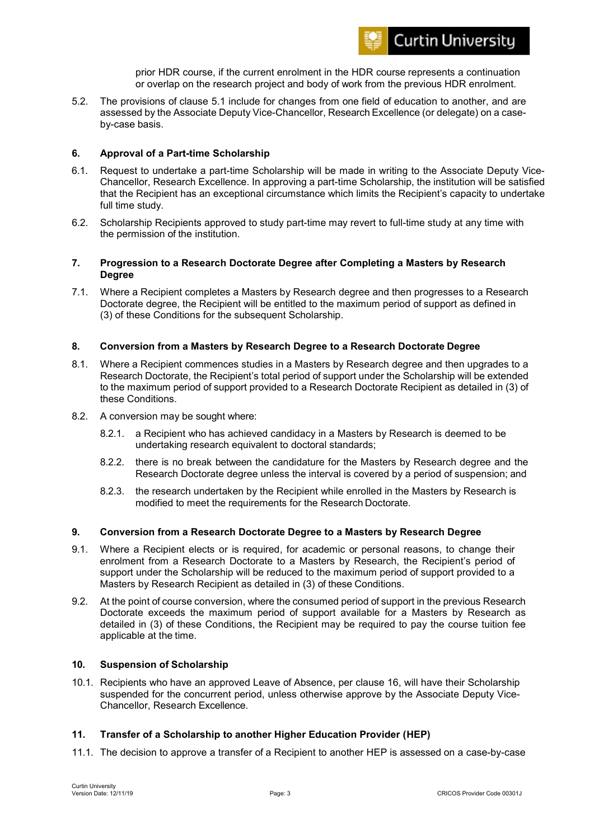

prior HDR course, if the current enrolment in the HDR course represents a continuation or overlap on the research project and body of work from the previous HDR enrolment.

5.2. The provisions of clause 5.1 include for changes from one field of education to another, and are assessed by the Associate Deputy Vice-Chancellor, Research Excellence (or delegate) on a caseby-case basis.

# **6. Approval of a Part-time Scholarship**

- 6.1. Request to undertake a part-time Scholarship will be made in writing to the Associate Deputy Vice-Chancellor, Research Excellence. In approving a part-time Scholarship, the institution will be satisfied that the Recipient has an exceptional circumstance which limits the Recipient's capacity to undertake full time study.
- 6.2. Scholarship Recipients approved to study part-time may revert to full-time study at any time with the permission of the institution.

## **7. Progression to a Research Doctorate Degree after Completing a Masters by Research Degree**

7.1. Where a Recipient completes a Masters by Research degree and then progresses to a Research Doctorate degree, the Recipient will be entitled to the maximum period of support as defined in (3) of these Conditions for the subsequent Scholarship.

# **8. Conversion from a Masters by Research Degree to a Research Doctorate Degree**

- 8.1. Where a Recipient commences studies in a Masters by Research degree and then upgrades to a Research Doctorate, the Recipient's total period of support under the Scholarship will be extended to the maximum period of support provided to a Research Doctorate Recipient as detailed in (3) of these Conditions.
- 8.2. A conversion may be sought where:
	- 8.2.1. a Recipient who has achieved candidacy in a Masters by Research is deemed to be undertaking research equivalent to doctoral standards;
	- 8.2.2. there is no break between the candidature for the Masters by Research degree and the Research Doctorate degree unless the interval is covered by a period of suspension; and
	- 8.2.3. the research undertaken by the Recipient while enrolled in the Masters by Research is modified to meet the requirements for the Research Doctorate.

# **9. Conversion from a Research Doctorate Degree to a Masters by Research Degree**

- 9.1. Where a Recipient elects or is required, for academic or personal reasons, to change their enrolment from a Research Doctorate to a Masters by Research, the Recipient's period of support under the Scholarship will be reduced to the maximum period of support provided to a Masters by Research Recipient as detailed in (3) of these Conditions.
- 9.2. At the point of course conversion, where the consumed period of support in the previous Research Doctorate exceeds the maximum period of support available for a Masters by Research as detailed in (3) of these Conditions, the Recipient may be required to pay the course tuition fee applicable at the time.

# **10. Suspension of Scholarship**

10.1. Recipients who have an approved Leave of Absence, per clause 16, will have their Scholarship suspended for the concurrent period, unless otherwise approve by the Associate Deputy Vice-Chancellor, Research Excellence.

# **11. Transfer of a Scholarship to another Higher Education Provider (HEP)**

11.1. The decision to approve a transfer of a Recipient to another HEP is assessed on a case-by-case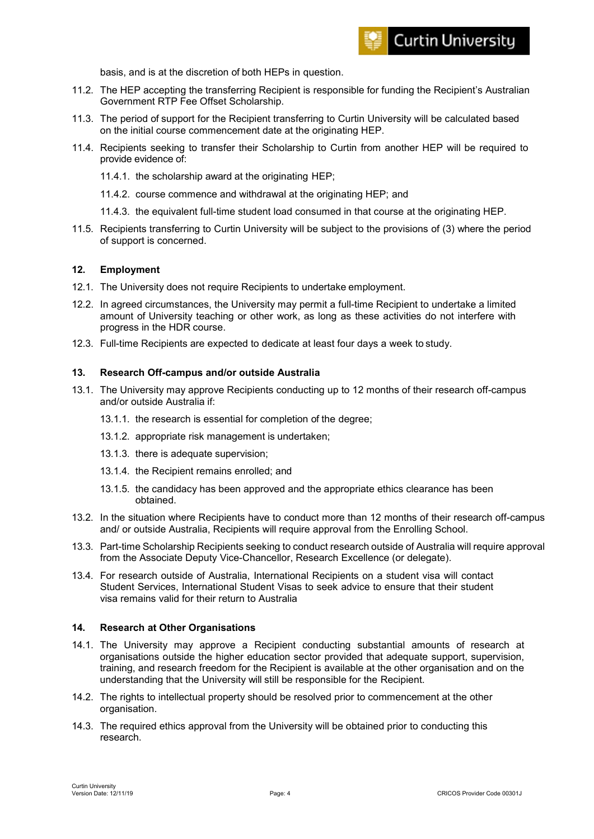

basis, and is at the discretion of both HEPs in question.

- 11.2. The HEP accepting the transferring Recipient is responsible for funding the Recipient's Australian Government RTP Fee Offset Scholarship.
- 11.3. The period of support for the Recipient transferring to Curtin University will be calculated based on the initial course commencement date at the originating HEP.
- 11.4. Recipients seeking to transfer their Scholarship to Curtin from another HEP will be required to provide evidence of:
	- 11.4.1. the scholarship award at the originating HEP;
	- 11.4.2. course commence and withdrawal at the originating HEP; and
	- 11.4.3. the equivalent full-time student load consumed in that course at the originating HEP.
- 11.5. Recipients transferring to Curtin University will be subject to the provisions of (3) where the period of support is concerned.

# **12. Employment**

- 12.1. The University does not require Recipients to undertake employment.
- 12.2. In agreed circumstances, the University may permit a full-time Recipient to undertake a limited amount of University teaching or other work, as long as these activities do not interfere with progress in the HDR course.
- 12.3. Full-time Recipients are expected to dedicate at least four days a week to study.

#### **13. Research Off-campus and/or outside Australia**

- 13.1. The University may approve Recipients conducting up to 12 months of their research off-campus and/or outside Australia if:
	- 13.1.1. the research is essential for completion of the degree;
	- 13.1.2. appropriate risk management is undertaken;
	- 13.1.3. there is adequate supervision;
	- 13.1.4. the Recipient remains enrolled; and
	- 13.1.5. the candidacy has been approved and the appropriate ethics clearance has been obtained.
- 13.2. In the situation where Recipients have to conduct more than 12 months of their research off-campus and/ or outside Australia, Recipients will require approval from the Enrolling School.
- 13.3. Part-time Scholarship Recipients seeking to conduct research outside of Australia will require approval from the Associate Deputy Vice-Chancellor, Research Excellence (or delegate).
- 13.4. For research outside of Australia, International Recipients on a student visa will contact Student Services, International Student Visas to seek advice to ensure that their student visa remains valid for their return to Australia

# **14. Research at Other Organisations**

- 14.1. The University may approve a Recipient conducting substantial amounts of research at organisations outside the higher education sector provided that adequate support, supervision, training, and research freedom for the Recipient is available at the other organisation and on the understanding that the University will still be responsible for the Recipient.
- 14.2. The rights to intellectual property should be resolved prior to commencement at the other organisation.
- 14.3. The required ethics approval from the University will be obtained prior to conducting this research.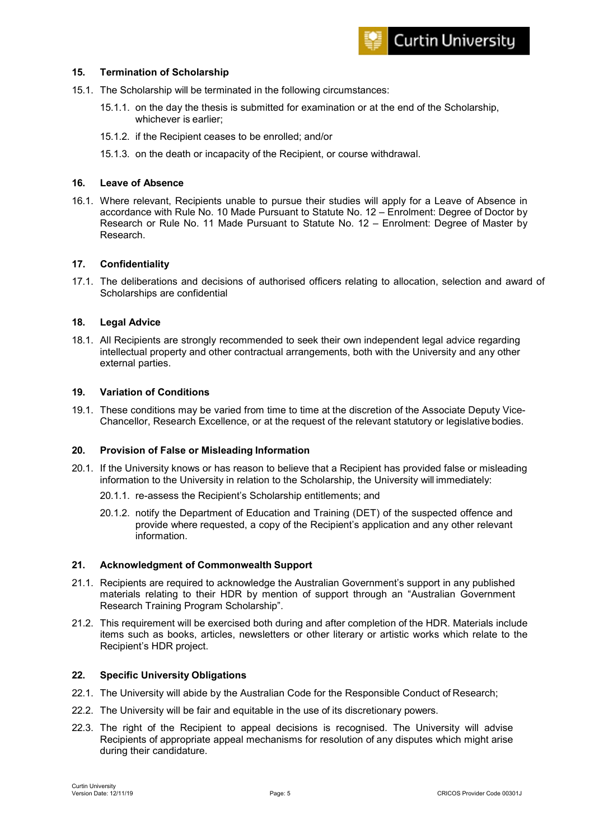# **15. Termination of Scholarship**

- 15.1. The Scholarship will be terminated in the following circumstances:
	- 15.1.1. on the day the thesis is submitted for examination or at the end of the Scholarship, whichever is earlier;
	- 15.1.2. if the Recipient ceases to be enrolled; and/or
	- 15.1.3. on the death or incapacity of the Recipient, or course withdrawal.

# **16. Leave of Absence**

16.1. Where relevant, Recipients unable to pursue their studies will apply for a Leave of Absence in accordance with Rule No. 10 Made Pursuant to Statute No. 12 – Enrolment: Degree of Doctor by Research or Rule No. 11 Made Pursuant to Statute No. 12 – Enrolment: Degree of Master by Research.

#### **17. Confidentiality**

17.1. The deliberations and decisions of authorised officers relating to allocation, selection and award of Scholarships are confidential

#### **18. Legal Advice**

18.1. All Recipients are strongly recommended to seek their own independent legal advice regarding intellectual property and other contractual arrangements, both with the University and any other external parties.

# **19. Variation of Conditions**

19.1. These conditions may be varied from time to time at the discretion of the Associate Deputy Vice-Chancellor, Research Excellence, or at the request of the relevant statutory or legislative bodies.

#### **20. Provision of False or Misleading Information**

- 20.1. If the University knows or has reason to believe that a Recipient has provided false or misleading information to the University in relation to the Scholarship, the University will immediately:
	- 20.1.1. re-assess the Recipient's Scholarship entitlements; and
	- 20.1.2. notify the Department of Education and Training (DET) of the suspected offence and provide where requested, a copy of the Recipient's application and any other relevant information.

#### **21. Acknowledgment of Commonwealth Support**

- 21.1. Recipients are required to acknowledge the Australian Government's support in any published materials relating to their HDR by mention of support through an "Australian Government Research Training Program Scholarship".
- 21.2. This requirement will be exercised both during and after completion of the HDR. Materials include items such as books, articles, newsletters or other literary or artistic works which relate to the Recipient's HDR project.

#### **22. Specific University Obligations**

- 22.1. The University will abide by the Australian Code for the Responsible Conduct of Research;
- 22.2. The University will be fair and equitable in the use of its discretionary powers.
- 22.3. The right of the Recipient to appeal decisions is recognised. The University will advise Recipients of appropriate appeal mechanisms for resolution of any disputes which might arise during their candidature.